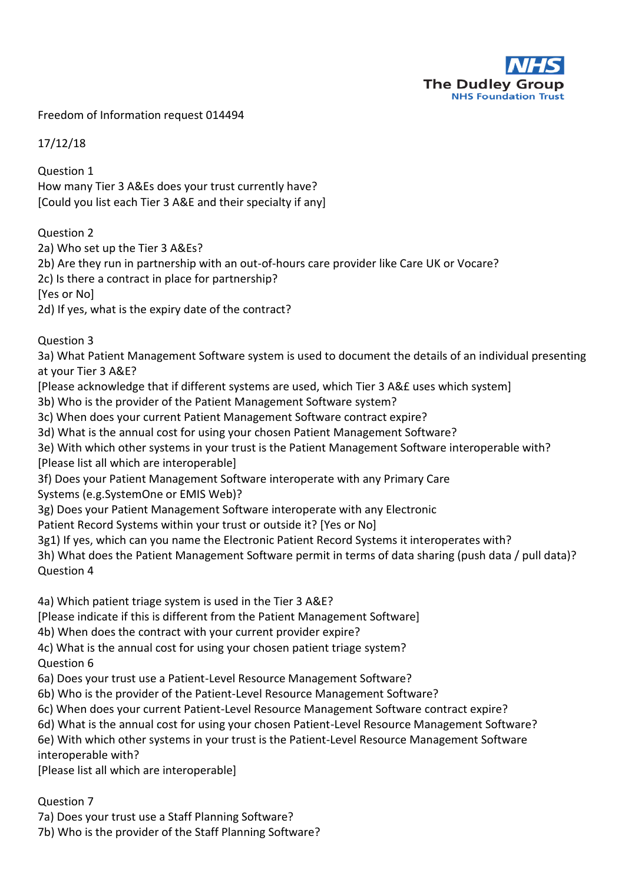

Freedom of Information request 014494

17/12/18

Question 1 How many Tier 3 A&Es does your trust currently have? [Could you list each Tier 3 A&E and their specialty if any]

## Question 2

2a) Who set up the Tier 3 A&Es?

2b) Are they run in partnership with an out-of-hours care provider like Care UK or Vocare?

2c) Is there a contract in place for partnership?

[Yes or No]

2d) If yes, what is the expiry date of the contract?

Question 3

3a) What Patient Management Software system is used to document the details of an individual presenting at your Tier 3 A&E?

[Please acknowledge that if different systems are used, which Tier 3 A&£ uses which system]

3b) Who is the provider of the Patient Management Software system?

3c) When does your current Patient Management Software contract expire?

3d) What is the annual cost for using your chosen Patient Management Software?

3e) With which other systems in your trust is the Patient Management Software interoperable with? [Please list all which are interoperable]

3f) Does your Patient Management Software interoperate with any Primary Care

Systems (e.g.SystemOne or EMIS Web)?

3g) Does your Patient Management Software interoperate with any Electronic

Patient Record Systems within your trust or outside it? [Yes or No]

3g1) If yes, which can you name the Electronic Patient Record Systems it interoperates with?

3h) What does the Patient Management Software permit in terms of data sharing (push data / pull data)? Question 4

4a) Which patient triage system is used in the Tier 3 A&E?

[Please indicate if this is different from the Patient Management Software]

4b) When does the contract with your current provider expire?

4c) What is the annual cost for using your chosen patient triage system? Question 6

6a) Does your trust use a Patient-Level Resource Management Software?

6b) Who is the provider of the Patient-Level Resource Management Software?

6c) When does your current Patient-Level Resource Management Software contract expire?

6d) What is the annual cost for using your chosen Patient-Level Resource Management Software?

6e) With which other systems in your trust is the Patient-Level Resource Management Software

interoperable with?

[Please list all which are interoperable]

Question 7

7a) Does your trust use a Staff Planning Software?

7b) Who is the provider of the Staff Planning Software?